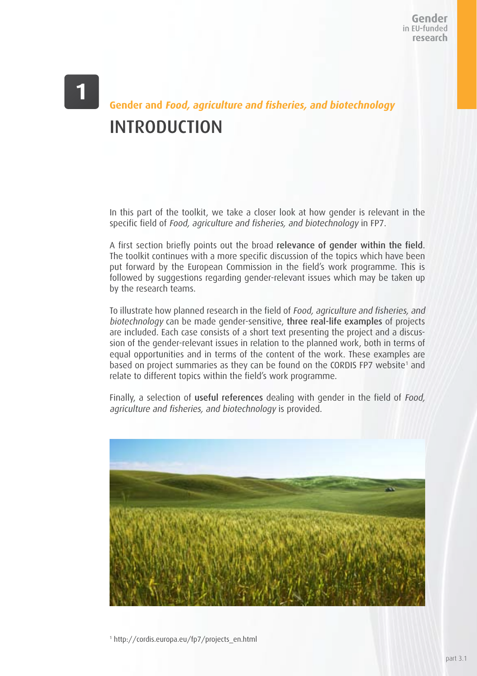# **Gender and Food, agriculture and fisheries, and biotechnology** INTRODUCTION

In this part of the toolkit, we take a closer look at how gender is relevant in the specific field of Food, agriculture and fisheries, and biotechnology in FP7.

A first section briefly points out the broad relevance of gender within the field. The toolkit continues with a more specific discussion of the topics which have been put forward by the European Commission in the field's work programme. This is followed by suggestions regarding gender-relevant issues which may be taken up by the research teams.

To illustrate how planned research in the field of Food, agriculture and fisheries, and biotechnology can be made gender-sensitive, three real-life examples of projects are included. Each case consists of a short text presenting the project and a discussion of the gender-relevant issues in relation to the planned work, both in terms of equal opportunities and in terms of the content of the work. These examples are based on project summaries as they can be found on the CORDIS FP7 website<sup>1</sup> and relate to different topics within the field's work programme.

Finally, a selection of useful references dealing with gender in the field of Food, agriculture and fisheries, and biotechnology is provided.

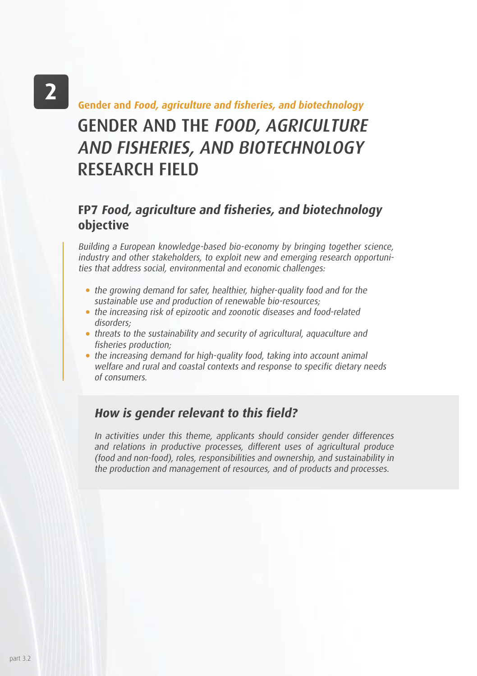# $\mathbf{2}$

# GENDER AND THE FOOD, AGRICULTURE AND FISHERIES, AND BIOTECHNOLOGY RESEARCH FIELD **Gender and Food, agriculture and fisheries, and biotechnology**

#### **FP7 Food, agriculture and fisheries, and biotechnology objective**

Building a European knowledge-based bio-economy by bringing together science, industry and other stakeholders, to exploit new and emerging research opportunities that address social, environmental and economic challenges:

- the growing demand for safer, healthier, higher-quality food and for the sustainable use and production of renewable bio-resources;
- the increasing risk of epizootic and zoonotic diseases and food-related disorders;
- threats to the sustainability and security of agricultural, aquaculture and fisheries production;
- the increasing demand for high-quality food, taking into account animal welfare and rural and coastal contexts and response to specific dietary needs of consumers.

#### **How is gender relevant to this field?**

In activities under this theme, applicants should consider gender differences and relations in productive processes, different uses of agricultural produce (food and non-food), roles, responsibilities and ownership, and sustainability in the production and management of resources, and of products and processes.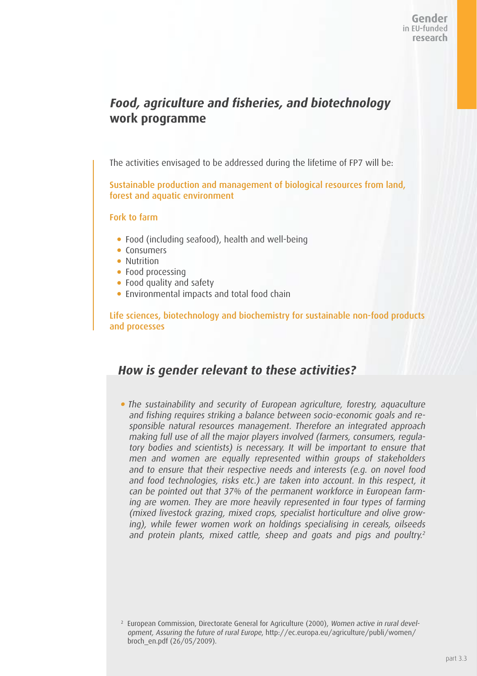### **Food, agriculture and fisheries, and biotechnology work programme**

The activities envisaged to be addressed during the lifetime of FP7 will be:

Sustainable production and management of biological resources from land, forest and aquatic environment

#### Fork to farm

- Food (including seafood), health and well-being
- Consumers
- Nutrition
- Food processing
- Food quality and safety
- Environmental impacts and total food chain

Life sciences, biotechnology and biochemistry for sustainable non-food products and processes

#### **How is gender relevant to these activities?**

The sustainability and security of European agriculture, forestry, aquaculture and fishing requires striking a balance between socio-economic goals and responsible natural resources management. Therefore an integrated approach making full use of all the major players involved (farmers, consumers, regulatory bodies and scientists) is necessary. It will be important to ensure that men and women are equally represented within groups of stakeholders and to ensure that their respective needs and interests (e.g. on novel food and food technologies, risks etc.) are taken into account. In this respect, it can be pointed out that 37% of the permanent workforce in European farming are women. They are more heavily represented in four types of farming (mixed livestock grazing, mixed crops, specialist horticulture and olive growing), while fewer women work on holdings specialising in cereals, oilseeds and protein plants, mixed cattle, sheep and goats and pigs and poultry.<sup>2</sup>

<sup>&</sup>lt;sup>2</sup> European Commission, Directorate General for Agriculture (2000), Women active in rural development, Assuring the future of rural Europe, http://ec.europa.eu/agriculture/publi/women/ broch\_en.pdf (26/05/2009).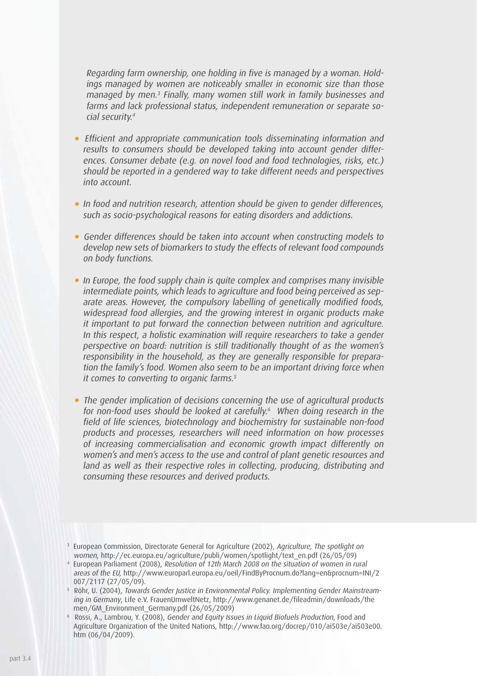Regarding farm ownership, one holding in five is managed by a woman. Holdings managed by women are noticeably smaller in economic size than those managed by men.3 Finally, many women still work in family businesses and farms and lack professional status, independent remuneration or separate social security.<sup>4</sup>

- Efficient and appropriate communication tools disseminating information and results to consumers should be developed taking into account gender differences. Consumer debate (e.g. on novel food and food technologies, risks, etc.) should be reported in a gendered way to take different needs and perspectives into account.
- In food and nutrition research, attention should be given to gender differences, such as socio-psychological reasons for eating disorders and addictions.
- Gender differences should be taken into account when constructing models to develop new sets of biomarkers to study the effects of relevant food compounds on body functions.
- In Europe, the food supply chain is quite complex and comprises many invisible intermediate points, which leads to agriculture and food being perceived as separate areas. However, the compulsory labelling of genetically modified foods, widespread food allergies, and the growing interest in organic products make it important to put forward the connection between nutrition and agriculture. In this respect, a holistic examination will require researchers to take a gender perspective on board: nutrition is still traditionally thought of as the women's responsibility in the household, as they are generally responsible for preparation the family's food. Women also seem to be an important driving force when it comes to converting to organic farms.<sup>5</sup>
- The gender implication of decisions concerning the use of agricultural products for non-food uses should be looked at carefully.<sup>6</sup> When doing research in the field of life sciences, biotechnology and biochemistry for sustainable non-food products and processes, researchers will need information on how processes of increasing commercialisation and economic growth impact differently on women's and men's access to the use and control of plant genetic resources and land as well as their respective roles in collecting, producing, distributing and consuming these resources and derived products.

<sup>3</sup> European Commission, Directorate General for Agriculture (2002), Agriculture, The spotlight on women, http://ec.europa.eu/agriculture/publi/women/spotlight/text\_en.pdf (26/05/09)

<sup>4</sup> European Parliament (2008), Resolution of 12th March 2008 on the situation of women in rural areas of the EU, http://www.europarl.europa.eu/oeil/FindByProcnum.do?lang=en&procnum=INI/2 007/2117 (27/05/09).

<sup>&</sup>lt;sup>5</sup> Röhr, U. (2004), Towards Gender Justice in Environmental Policy. Implementing Gender Mainstreaming in Germany, Life e.V. FrauenUmweltNetz, http://www.genanet.de/fileadmin/downloads/the men/GM\_Environment\_Germany.pdf (26/05/2009)

<sup>6</sup> Rossi, A., Lambrou, Y. (2008), Gender and Equity Issues in Liquid Biofuels Production, Food and Agriculture Organization of the United Nations, http://www.fao.org/docrep/010/ai503e/ai503e00. htm (06/04/2009).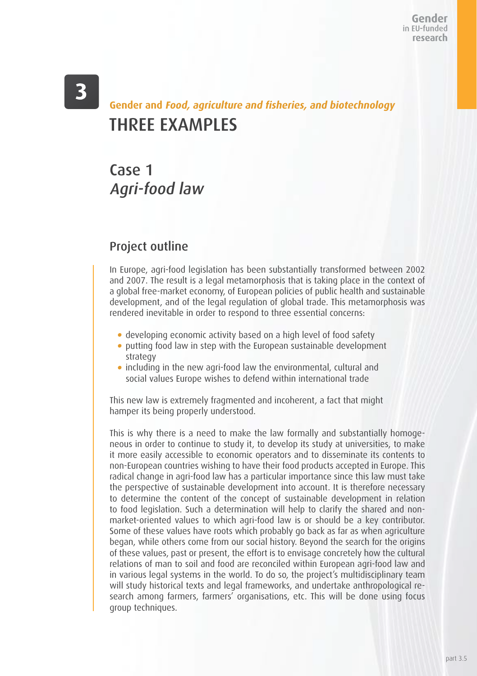# $\overline{\mathbf{3}}$

# THREE EXAMPLES **Gender and Food, agriculture and fisheries, and biotechnology**

# Case 1 Agri-food law

#### Project outline

In Europe, agri-food legislation has been substantially transformed between 2002 and 2007. The result is a legal metamorphosis that is taking place in the context of a global free-market economy, of European policies of public health and sustainable development, and of the legal regulation of global trade. This metamorphosis was rendered inevitable in order to respond to three essential concerns:

- developing economic activity based on a high level of food safety
- putting food law in step with the European sustainable development strategy
- including in the new agri-food law the environmental, cultural and social values Europe wishes to defend within international trade

This new law is extremely fragmented and incoherent, a fact that might hamper its being properly understood.

This is why there is a need to make the law formally and substantially homogeneous in order to continue to study it, to develop its study at universities, to make it more easily accessible to economic operators and to disseminate its contents to non-European countries wishing to have their food products accepted in Europe. This radical change in agri-food law has a particular importance since this law must take the perspective of sustainable development into account. It is therefore necessary to determine the content of the concept of sustainable development in relation to food legislation. Such a determination will help to clarify the shared and nonmarket-oriented values to which agri-food law is or should be a key contributor. Some of these values have roots which probably go back as far as when agriculture began, while others come from our social history. Beyond the search for the origins of these values, past or present, the effort is to envisage concretely how the cultural relations of man to soil and food are reconciled within European agri-food law and in various legal systems in the world. To do so, the project's multidisciplinary team will study historical texts and legal frameworks, and undertake anthropological research among farmers, farmers' organisations, etc. This will be done using focus group techniques.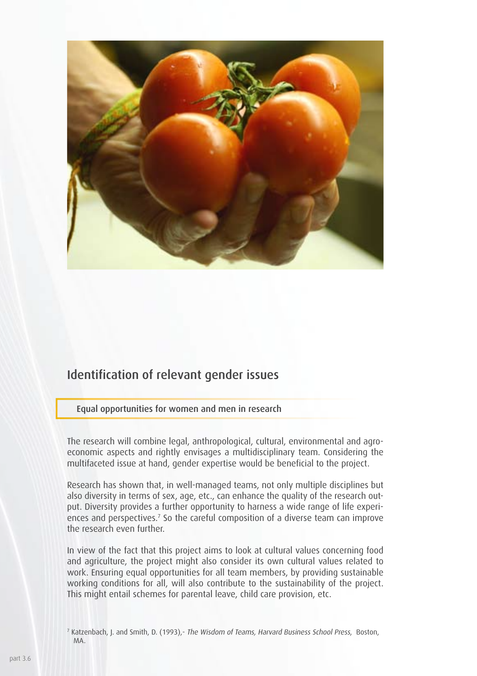

#### Identification of relevant gender issues

Equal opportunities for women and men in research

The research will combine legal, anthropological, cultural, environmental and agroeconomic aspects and rightly envisages a multidisciplinary team. Considering the multifaceted issue at hand, gender expertise would be beneficial to the project.

Research has shown that, in well-managed teams, not only multiple disciplines but also diversity in terms of sex, age, etc., can enhance the quality of the research output. Diversity provides a further opportunity to harness a wide range of life experiences and perspectives.<sup>7</sup> So the careful composition of a diverse team can improve the research even further.

In view of the fact that this project aims to look at cultural values concerning food and agriculture, the project might also consider its own cultural values related to work. Ensuring equal opportunities for all team members, by providing sustainable working conditions for all, will also contribute to the sustainability of the project. This might entail schemes for parental leave, child care provision, etc.

<sup>7</sup> Katzenbach, J. and Smith, D. (1993),- The Wisdom of Teams, Harvard Business School Press, Boston, MA.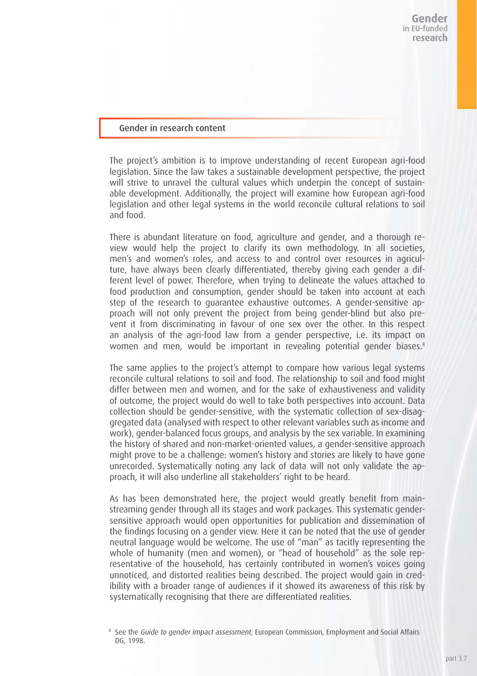#### Gender in research content

The project's ambition is to improve understanding of recent European agri-food legislation. Since the law takes a sustainable development perspective, the project will strive to unravel the cultural values which underpin the concept of sustainable development. Additionally, the project will examine how European agri-food legislation and other legal systems in the world reconcile cultural relations to soil and food.

There is abundant literature on food, agriculture and gender, and a thorough review would help the project to clarify its own methodology. In all societies, men's and women's roles, and access to and control over resources in agriculture, have always been clearly differentiated, thereby giving each gender a different level of power. Therefore, when trying to delineate the values attached to food production and consumption, gender should be taken into account at each step of the research to guarantee exhaustive outcomes. A gender-sensitive approach will not only prevent the project from being gender-blind but also prevent it from discriminating in favour of one sex over the other. In this respect an analysis of the agri-food law from a gender perspective, i.e. its impact on women and men, would be important in revealing potential gender biases.<sup>8</sup>

The same applies to the project's attempt to compare how various legal systems reconcile cultural relations to soil and food. The relationship to soil and food might differ between men and women, and for the sake of exhaustiveness and validity of outcome, the project would do well to take both perspectives into account. Data collection should be gender-sensitive, with the systematic collection of sex-disaggregated data (analysed with respect to other relevant variables such as income and work), gender-balanced focus groups, and analysis by the sex variable. In examining the history of shared and non-market-oriented values, a gender-sensitive approach might prove to be a challenge: women's history and stories are likely to have gone unrecorded. Systematically noting any lack of data will not only validate the approach, it will also underline all stakeholders' right to be heard.

As has been demonstrated here, the project would greatly benefit from mainstreaming gender through all its stages and work packages. This systematic gendersensitive approach would open opportunities for publication and dissemination of the findings focusing on a gender view. Here it can be noted that the use of gender neutral language would be welcome. The use of "man" as tacitly representing the whole of humanity (men and women), or "head of household" as the sole representative of the household, has certainly contributed in women's voices going unnoticed, and distorted realities being described. The project would gain in credibility with a broader range of audiences if it showed its awareness of this risk by systematically recognising that there are differentiated realities.

<sup>&</sup>lt;sup>8</sup> See the Guide to gender impact assessment, European Commission, Employment and Social Affairs DG, 1998.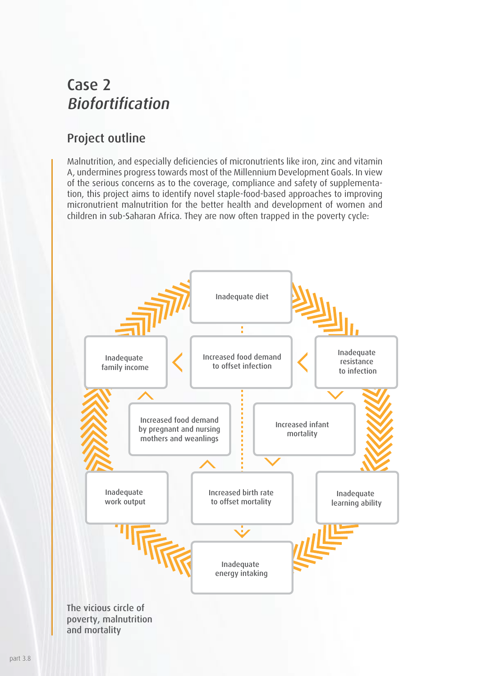### Case 2 Biofortification

### Project outline

Malnutrition, and especially deficiencies of micronutrients like iron, zinc and vitamin A, undermines progress towards most of the Millennium Development Goals. In view of the serious concerns as to the coverage, compliance and safety of supplementation, this project aims to identify novel staple-food-based approaches to improving micronutrient malnutrition for the better health and development of women and children in sub-Saharan Africa. They are now often trapped in the poverty cycle:

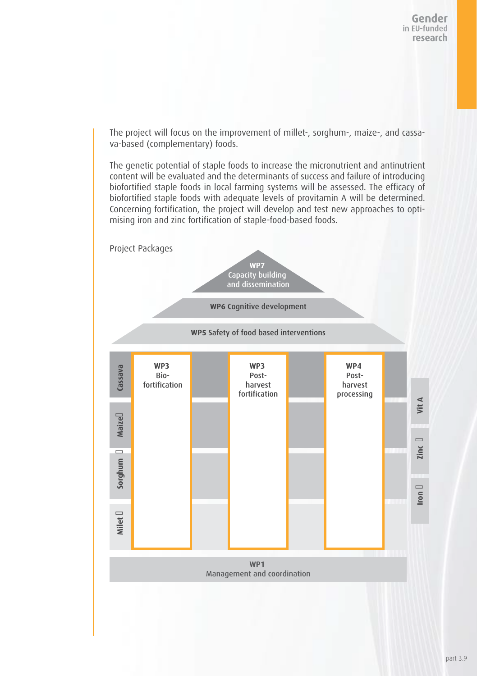The project will focus on the improvement of millet-, sorghum-, maize-, and cassava-based (complementary) foods.

The genetic potential of staple foods to increase the micronutrient and antinutrient content will be evaluated and the determinants of success and failure of introducing biofortified staple foods in local farming systems will be assessed. The efficacy of biofortified staple foods with adequate levels of provitamin A will be determined. Concerning fortification, the project will develop and test new approaches to optimising iron and zinc fortification of staple-food-based foods.

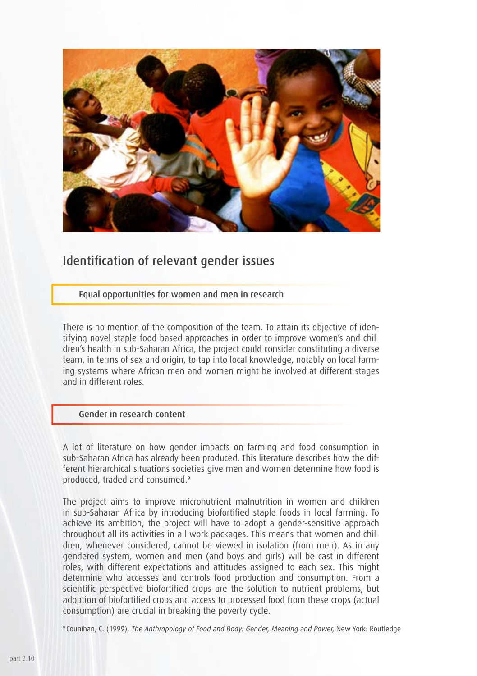

#### Identification of relevant gender issues

Equal opportunities for women and men in research

There is no mention of the composition of the team. To attain its objective of identifying novel staple-food-based approaches in order to improve women's and children's health in sub-Saharan Africa, the project could consider constituting a diverse team, in terms of sex and origin, to tap into local knowledge, notably on local farming systems where African men and women might be involved at different stages and in different roles.

#### Gender in research content

A lot of literature on how gender impacts on farming and food consumption in sub-Saharan Africa has already been produced. This literature describes how the different hierarchical situations societies give men and women determine how food is produced, traded and consumed.9

The project aims to improve micronutrient malnutrition in women and children in sub-Saharan Africa by introducing biofortified staple foods in local farming. To achieve its ambition, the project will have to adopt a gender-sensitive approach throughout all its activities in all work packages. This means that women and children, whenever considered, cannot be viewed in isolation (from men). As in any gendered system, women and men (and boys and girls) will be cast in different roles, with different expectations and attitudes assigned to each sex. This might determine who accesses and controls food production and consumption. From a scientific perspective biofortified crops are the solution to nutrient problems, but adoption of biofortified crops and access to processed food from these crops (actual consumption) are crucial in breaking the poverty cycle.

9 Counihan, C. (1999), The Anthropology of Food and Body: Gender, Meaning and Power, New York: Routledge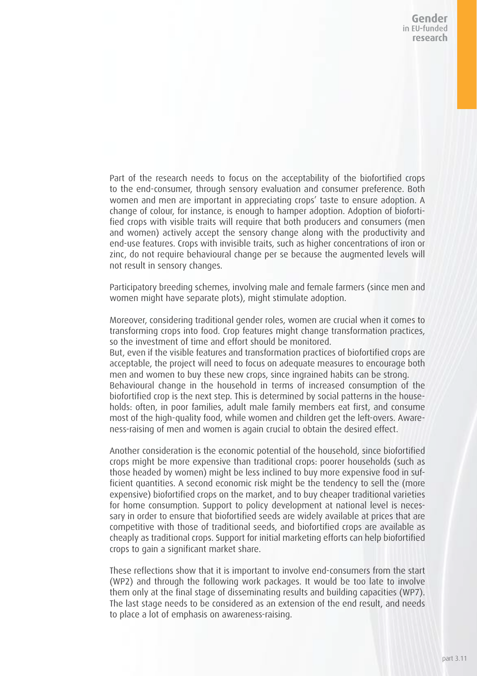Gender in EU-funded research

Part of the research needs to focus on the acceptability of the biofortified crops to the end-consumer, through sensory evaluation and consumer preference. Both women and men are important in appreciating crops' taste to ensure adoption. A change of colour, for instance, is enough to hamper adoption. Adoption of biofortified crops with visible traits will require that both producers and consumers (men and women) actively accept the sensory change along with the productivity and end-use features. Crops with invisible traits, such as higher concentrations of iron or zinc, do not require behavioural change per se because the augmented levels will not result in sensory changes.

Participatory breeding schemes, involving male and female farmers (since men and women might have separate plots), might stimulate adoption.

Moreover, considering traditional gender roles, women are crucial when it comes to transforming crops into food. Crop features might change transformation practices, so the investment of time and effort should be monitored.

But, even if the visible features and transformation practices of biofortified crops are acceptable, the project will need to focus on adequate measures to encourage both men and women to buy these new crops, since ingrained habits can be strong. Behavioural change in the household in terms of increased consumption of the biofortified crop is the next step. This is determined by social patterns in the households: often, in poor families, adult male family members eat first, and consume

most of the high-quality food, while women and children get the left-overs. Awareness-raising of men and women is again crucial to obtain the desired effect.

Another consideration is the economic potential of the household, since biofortified crops might be more expensive than traditional crops: poorer households (such as those headed by women) might be less inclined to buy more expensive food in sufficient quantities. A second economic risk might be the tendency to sell the (more expensive) biofortified crops on the market, and to buy cheaper traditional varieties for home consumption. Support to policy development at national level is necessary in order to ensure that biofortified seeds are widely available at prices that are competitive with those of traditional seeds, and biofortified crops are available as cheaply as traditional crops. Support for initial marketing efforts can help biofortified crops to gain a significant market share.

These reflections show that it is important to involve end-consumers from the start (WP2) and through the following work packages. It would be too late to involve them only at the final stage of disseminating results and building capacities (WP7). The last stage needs to be considered as an extension of the end result, and needs to place a lot of emphasis on awareness-raising.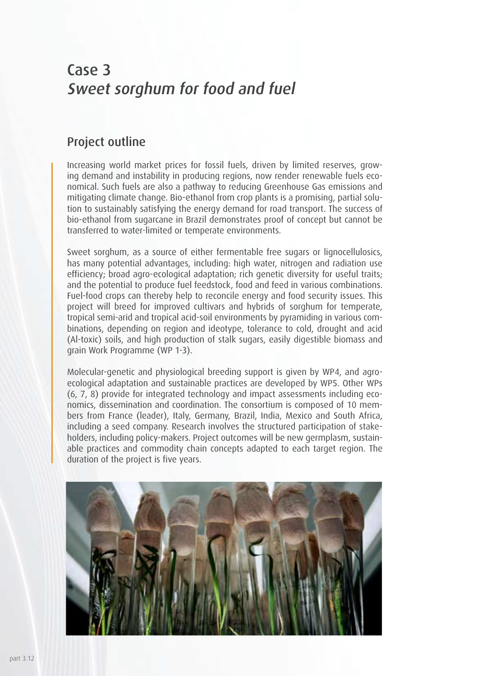# Case 3 Sweet sorghum for food and fuel

#### Project outline

Increasing world market prices for fossil fuels, driven by limited reserves, growing demand and instability in producing regions, now render renewable fuels economical. Such fuels are also a pathway to reducing Greenhouse Gas emissions and mitigating climate change. Bio-ethanol from crop plants is a promising, partial solution to sustainably satisfying the energy demand for road transport. The success of bio-ethanol from sugarcane in Brazil demonstrates proof of concept but cannot be transferred to water-limited or temperate environments.

Sweet sorghum, as a source of either fermentable free sugars or lignocellulosics, has many potential advantages, including: high water, nitrogen and radiation use efficiency; broad agro-ecological adaptation; rich genetic diversity for useful traits; and the potential to produce fuel feedstock, food and feed in various combinations. Fuel-food crops can thereby help to reconcile energy and food security issues. This project will breed for improved cultivars and hybrids of sorghum for temperate, tropical semi-arid and tropical acid-soil environments by pyramiding in various combinations, depending on region and ideotype, tolerance to cold, drought and acid (Al-toxic) soils, and high production of stalk sugars, easily digestible biomass and grain Work Programme (WP 1-3).

Molecular-genetic and physiological breeding support is given by WP4, and agroecological adaptation and sustainable practices are developed by WP5. Other WPs (6, 7, 8) provide for integrated technology and impact assessments including economics, dissemination and coordination. The consortium is composed of 10 members from France (leader), Italy, Germany, Brazil, India, Mexico and South Africa, including a seed company. Research involves the structured participation of stakeholders, including policy-makers. Project outcomes will be new germplasm, sustainable practices and commodity chain concepts adapted to each target region. The duration of the project is five years.

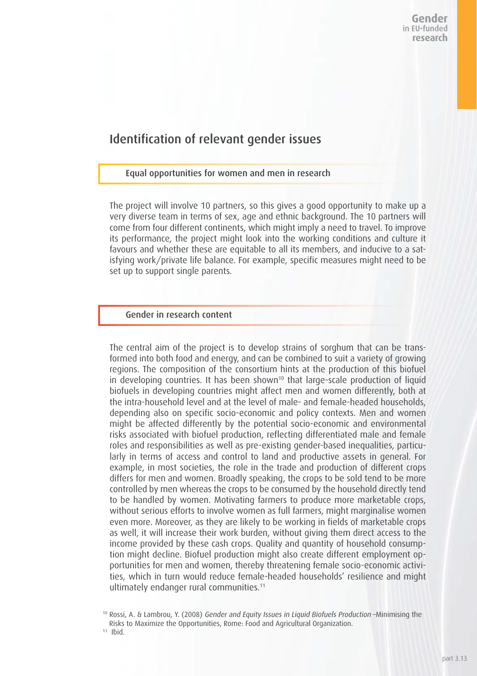#### Identification of relevant gender issues

#### Equal opportunities for women and men in research

The project will involve 10 partners, so this gives a good opportunity to make up a very diverse team in terms of sex, age and ethnic background. The 10 partners will come from four different continents, which might imply a need to travel. To improve its performance, the project might look into the working conditions and culture it favours and whether these are equitable to all its members, and inducive to a satisfying work/private life balance. For example, specific measures might need to be set up to support single parents.

#### Gender in research content

The central aim of the project is to develop strains of sorghum that can be transformed into both food and energy, and can be combined to suit a variety of growing regions. The composition of the consortium hints at the production of this biofuel in developing countries. It has been shown<sup>10</sup> that large-scale production of liquid biofuels in developing countries might affect men and women differently, both at the intra-household level and at the level of male- and female-headed households, depending also on specific socio-economic and policy contexts. Men and women might be affected differently by the potential socio-economic and environmental risks associated with biofuel production, reflecting differentiated male and female roles and responsibilities as well as pre-existing gender-based inequalities, particularly in terms of access and control to land and productive assets in general. For example, in most societies, the role in the trade and production of different crops differs for men and women. Broadly speaking, the crops to be sold tend to be more controlled by men whereas the crops to be consumed by the household directly tend to be handled by women. Motivating farmers to produce more marketable crops, without serious efforts to involve women as full farmers, might marginalise women even more. Moreover, as they are likely to be working in fields of marketable crops as well, it will increase their work burden, without giving them direct access to the income provided by these cash crops. Quality and quantity of household consumption might decline. Biofuel production might also create different employment opportunities for men and women, thereby threatening female socio-economic activities, which in turn would reduce female-headed households' resilience and might ultimately endanger rural communities.<sup>11</sup>

<sup>10</sup> Rossi, A. & Lambrou, Y. (2008) Gender and Equity Issues in Liquid Biofuels Production –Minimising the Risks to Maximize the Opportunities, Rome: Food and Agricultural Organization. 11 Ibid.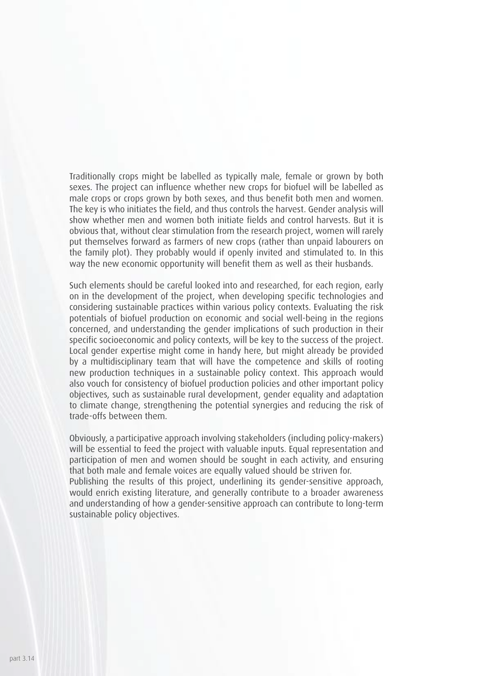Traditionally crops might be labelled as typically male, female or grown by both sexes. The project can influence whether new crops for biofuel will be labelled as male crops or crops grown by both sexes, and thus benefit both men and women. The key is who initiates the field, and thus controls the harvest. Gender analysis will show whether men and women both initiate fields and control harvests. But it is obvious that, without clear stimulation from the research project, women will rarely put themselves forward as farmers of new crops (rather than unpaid labourers on the family plot). They probably would if openly invited and stimulated to. In this way the new economic opportunity will benefit them as well as their husbands.

Such elements should be careful looked into and researched, for each region, early on in the development of the project, when developing specific technologies and considering sustainable practices within various policy contexts. Evaluating the risk potentials of biofuel production on economic and social well-being in the regions concerned, and understanding the gender implications of such production in their specific socioeconomic and policy contexts, will be key to the success of the project. Local gender expertise might come in handy here, but might already be provided by a multidisciplinary team that will have the competence and skills of rooting new production techniques in a sustainable policy context. This approach would also vouch for consistency of biofuel production policies and other important policy objectives, such as sustainable rural development, gender equality and adaptation to climate change, strengthening the potential synergies and reducing the risk of trade-offs between them.

Obviously, a participative approach involving stakeholders (including policy-makers) will be essential to feed the project with valuable inputs. Equal representation and participation of men and women should be sought in each activity, and ensuring that both male and female voices are equally valued should be striven for. Publishing the results of this project, underlining its gender-sensitive approach,

would enrich existing literature, and generally contribute to a broader awareness and understanding of how a gender-sensitive approach can contribute to long-term sustainable policy objectives.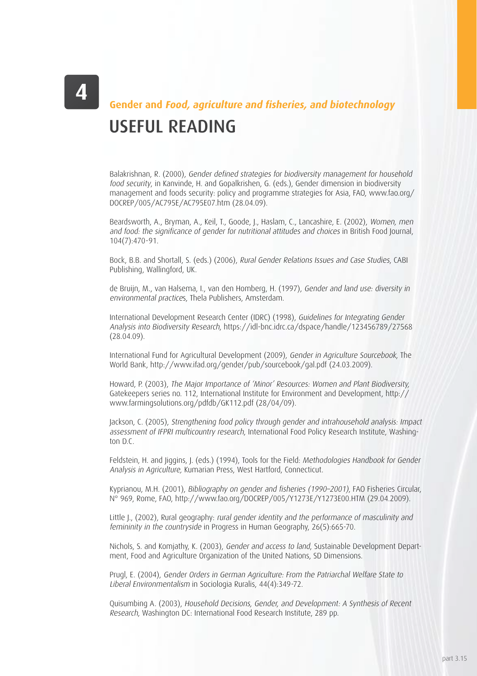# USEFUL READING **Gender and Food, agriculture and fisheries, and biotechnology**

Balakrishnan, R. (2000), Gender defined strategies for biodiversity management for household food security, in Kanvinde, H. and Gopalkrishen, G. (eds.), Gender dimension in biodiversity management and foods security: policy and programme strategies for Asia, FAO, www.fao.org/ DOCREP/005/AC795E/AC795E07.htm (28.04.09).

Beardsworth, A., Bryman, A., Keil, T., Goode, J., Haslam, C., Lancashire, E. (2002), Women, men and food: the significance of gender for nutritional attitudes and choices in British Food Journal, 104(7):470-91.

Bock, B.B. and Shortall, S. (eds.) (2006), Rural Gender Relations Issues and Case Studies, CABI Publishing, Wallingford, UK.

de Bruijn, M., van Halsema, I., van den Homberg, H. (1997), Gender and land use: diversity in environmental practices, Thela Publishers, Amsterdam.

International Development Research Center (IDRC) (1998), Guidelines for Integrating Gender Analysis into Biodiversity Research, https://idl-bnc.idrc.ca/dspace/handle/123456789/27568 (28.04.09).

International Fund for Agricultural Development (2009), Gender in Agriculture Sourcebook, The World Bank, http://www.ifad.org/gender/pub/sourcebook/gal.pdf (24.03.2009).

Howard, P. (2003), The Major Importance of 'Minor' Resources: Women and Plant Biodiversity, Gatekeepers series no. 112, International Institute for Environment and Development, http:// www.farmingsolutions.org/pdfdb/GK112.pdf (28/04/09).

Jackson, C. (2005), Strengthening food policy through gender and intrahousehold analysis: Impact assessment of IFPRI multicountry research, International Food Policy Research Institute, Washington D.C.

Feldstein, H. and Jiggins, J. (eds.) (1994), Tools for the Field: Methodologies Handbook for Gender Analysis in Agriculture, Kumarian Press, West Hartford, Connecticut.

Kyprianou, M.H. (2001), Bibliography on gender and fisheries (1990–2001), FAO Fisheries Circular, N° 969, Rome, FAO, http://www.fao.org/DOCREP/005/Y1273E/Y1273E00.HTM (29.04.2009).

Little J., (2002), Rural geography: rural gender identity and the performance of masculinity and femininity in the countryside in Progress in Human Geography, 26(5):665-70.

Nichols, S. and Komjathy, K. (2003), Gender and access to land, Sustainable Development Department, Food and Agriculture Organization of the United Nations, SD Dimensions.

Prugl, E. (2004), Gender Orders in German Agriculture: From the Patriarchal Welfare State to Liberal Environmentalism in Sociologia Ruralis, 44(4):349-72.

Quisumbing A. (2003), Household Decisions, Gender, and Development: A Synthesis of Recent Research, Washington DC: International Food Research Institute, 289 pp.